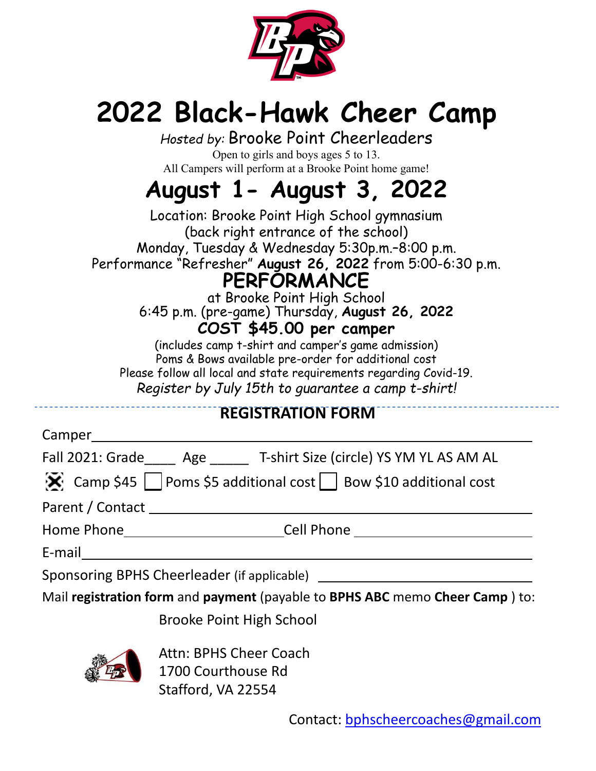

## **2022 Black-Hawk Cheer Camp**

*Hosted by:* Brooke Point Cheerleaders Open to girls and boys ages 5 to 13. All Campers will perform at a Brooke Point home game!

## **August 1- August 3, 2022**

Location: Brooke Point High School gymnasium (back right entrance of the school) Monday, Tuesday & Wednesday 5:30p.m.–8:00 p.m. Performance "Refresher" **August 26, 2022** from 5:00-6:30 p.m. **PERFORMANCE**

at Brooke Point High School 6:45 p.m. (pre-game) Thursday, **August 26, 2022 COST \$45.00 per camper**

(includes camp t-shirt and camper's game admission) Poms & Bows available pre-order for additional cost Please follow all local and state requirements regarding Covid-19. *Register by July 15th to guarantee a camp t-shirt!*

## **REGISTRATION FORM**

| Camper |
|--------|
|--------|

Fall 2021: Grade Age T-shirt Size (circle) YS YM YL AS AM AL

|  |  | Camp \$45 $\Box$ Poms \$5 additional cost $\Box$ Bow \$10 additional cost |  |
|--|--|---------------------------------------------------------------------------|--|
|--|--|---------------------------------------------------------------------------|--|

Parent / Contact

Home Phone Cell Phone

E‐mail

Sponsoring BPHS Cheerleader (if applicable)

Mail **registration form** and **payment** (payable to **BPHS ABC** memo **Cheer Camp** ) to:

Brooke Point High School



Attn: BPHS Cheer Coach 1700 Courthouse Rd Stafford, VA 22554

Contact: [bphscheercoaches@gmail.com](mailto:bphscheercoaches@gmail.com)